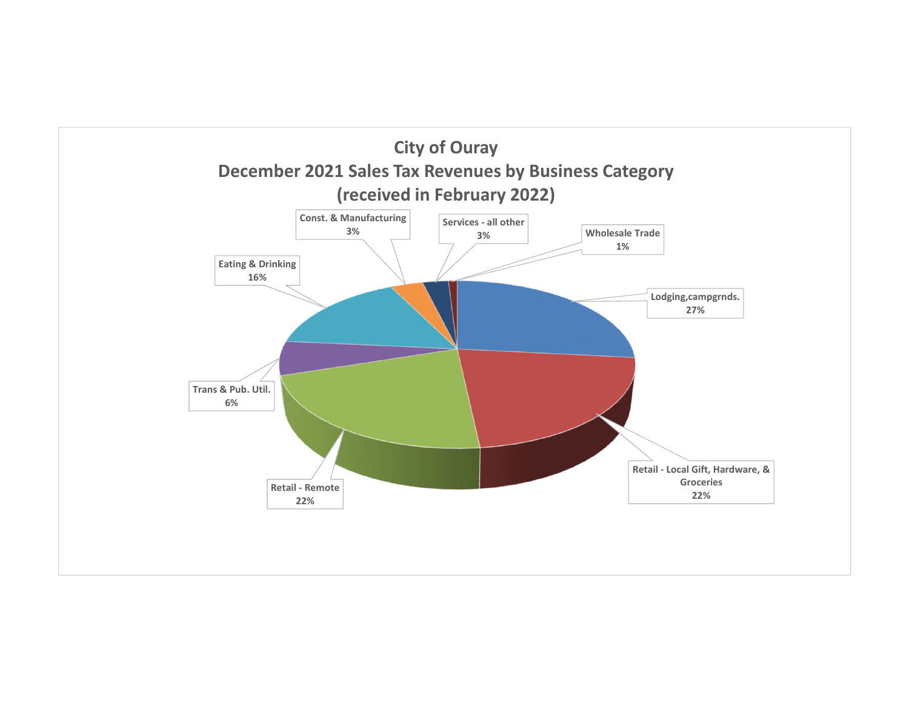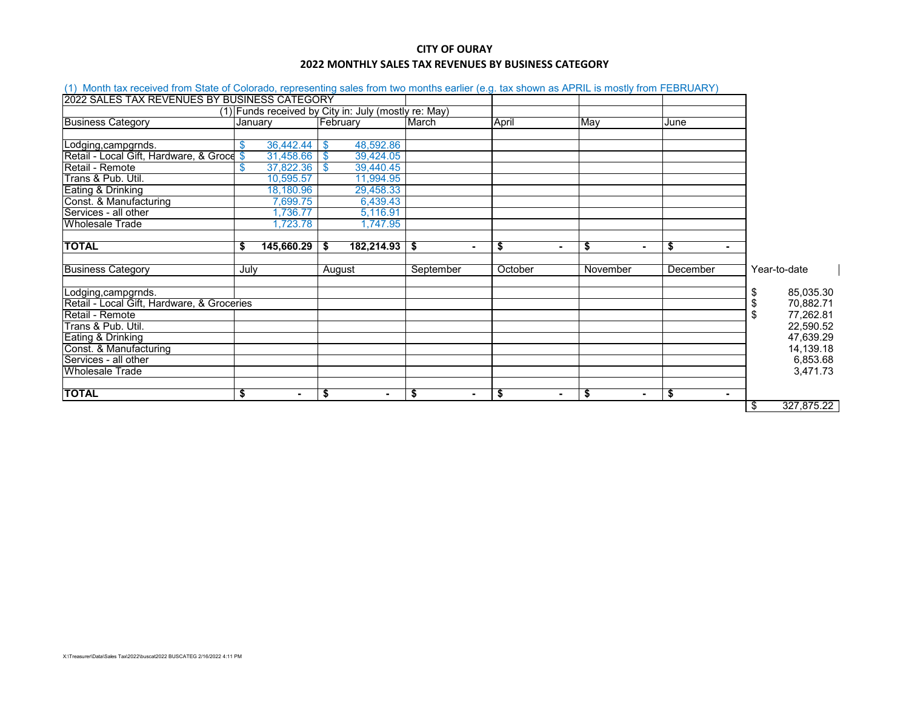## **CITY OF OURAY 2022 MONTHLY SALES TAX REVENUES BY BUSINESS CATEGORY**

| (1) Month tax received from State of Colorado, representing sales from two months earlier (e.g. tax shown as APRIL is mostly from FEBRUARY) |                 |                                                      |                        |          |                      |                |                  |
|---------------------------------------------------------------------------------------------------------------------------------------------|-----------------|------------------------------------------------------|------------------------|----------|----------------------|----------------|------------------|
| 2022 SALES TAX REVENUES BY BUSINESS CATEGORY                                                                                                |                 |                                                      |                        |          |                      |                |                  |
|                                                                                                                                             |                 | (1) Funds received by City in: July (mostly re: May) |                        |          |                      |                |                  |
| <b>Business Category</b>                                                                                                                    | Januarv         | February                                             | March                  | April    | May                  | June           |                  |
|                                                                                                                                             |                 |                                                      |                        |          |                      |                |                  |
| Lodging, campgrnds.                                                                                                                         | 36,442.44<br>\$ | 48,592.86<br>-\$                                     |                        |          |                      |                |                  |
| Retail - Local Gift, Hardware, & Groce \$                                                                                                   | 31,458.66       | 39,424.05<br>- \$                                    |                        |          |                      |                |                  |
| Retail - Remote                                                                                                                             | 37,822.36       | 39,440.45<br>- \$                                    |                        |          |                      |                |                  |
| Trans & Pub. Util.                                                                                                                          | 10,595.57       | 11,994.95                                            |                        |          |                      |                |                  |
| Eating & Drinking                                                                                                                           | 18,180.96       | 29,458.33                                            |                        |          |                      |                |                  |
| Const. & Manufacturing                                                                                                                      | 7,699.75        | 6,439.43                                             |                        |          |                      |                |                  |
| Services - all other                                                                                                                        | ,736.77         | 5,116.91                                             |                        |          |                      |                |                  |
| <b>Wholesale Trade</b>                                                                                                                      | 1,723.78        | 1,747.95                                             |                        |          |                      |                |                  |
|                                                                                                                                             |                 |                                                      |                        |          |                      |                |                  |
| <b>TOTAL</b>                                                                                                                                | 145,660.29<br>S | 182,214.93<br>S.                                     | - \$<br>$\blacksquare$ | \$<br>۰. | \$<br>$\blacksquare$ | - \$<br>٠      |                  |
|                                                                                                                                             |                 |                                                      |                        |          |                      |                |                  |
| <b>Business Category</b>                                                                                                                    | July            | August                                               | September              | October  | November             | December       | Year-to-date     |
|                                                                                                                                             |                 |                                                      |                        |          |                      |                |                  |
| Lodging, campgrnds.                                                                                                                         |                 |                                                      |                        |          |                      |                | 85,035.30<br>S   |
| Retail - Local Gift, Hardware, & Groceries                                                                                                  |                 |                                                      |                        |          |                      |                | 70,882.71<br>\$  |
| Retail - Remote                                                                                                                             |                 |                                                      |                        |          |                      |                | 77,262.81<br>\$  |
| Trans & Pub. Util.                                                                                                                          |                 |                                                      |                        |          |                      |                | 22,590.52        |
| Eating & Drinking                                                                                                                           |                 |                                                      |                        |          |                      |                | 47,639.29        |
| Const. & Manufacturing                                                                                                                      |                 |                                                      |                        |          |                      |                | 14,139.18        |
| Services - all other                                                                                                                        |                 |                                                      |                        |          |                      |                | 6,853.68         |
| <b>Wholesale Trade</b>                                                                                                                      |                 |                                                      |                        |          |                      |                | 3,471.73         |
|                                                                                                                                             |                 |                                                      |                        |          |                      |                |                  |
| <b>TOTAL</b>                                                                                                                                | \$              | \$<br>$\blacksquare$                                 | \$                     | \$       | \$<br>$\blacksquare$ | $\blacksquare$ |                  |
|                                                                                                                                             |                 |                                                      |                        |          |                      |                | 327,875.22<br>\$ |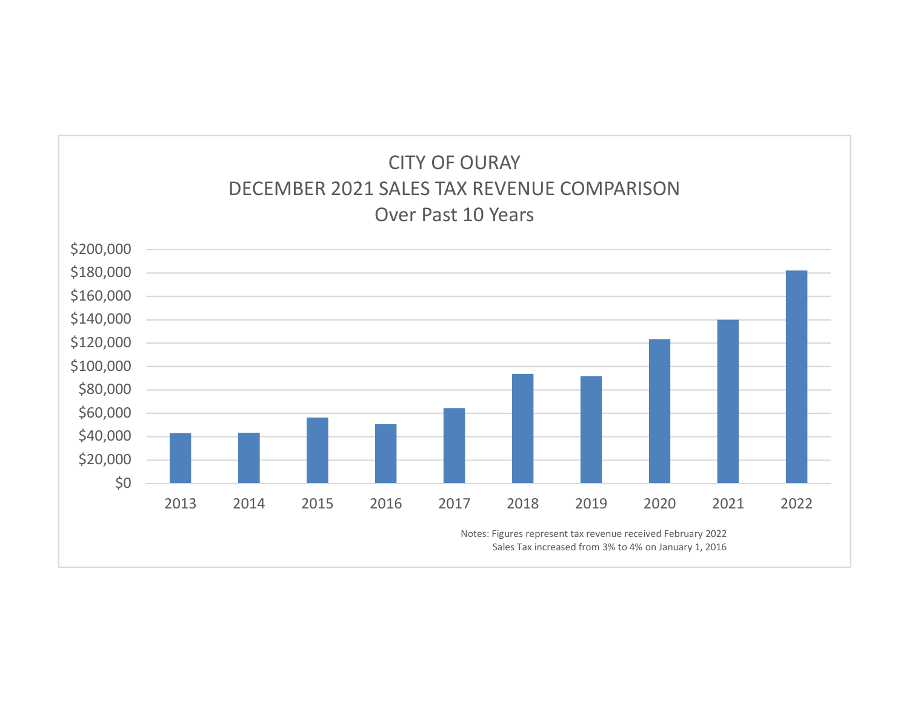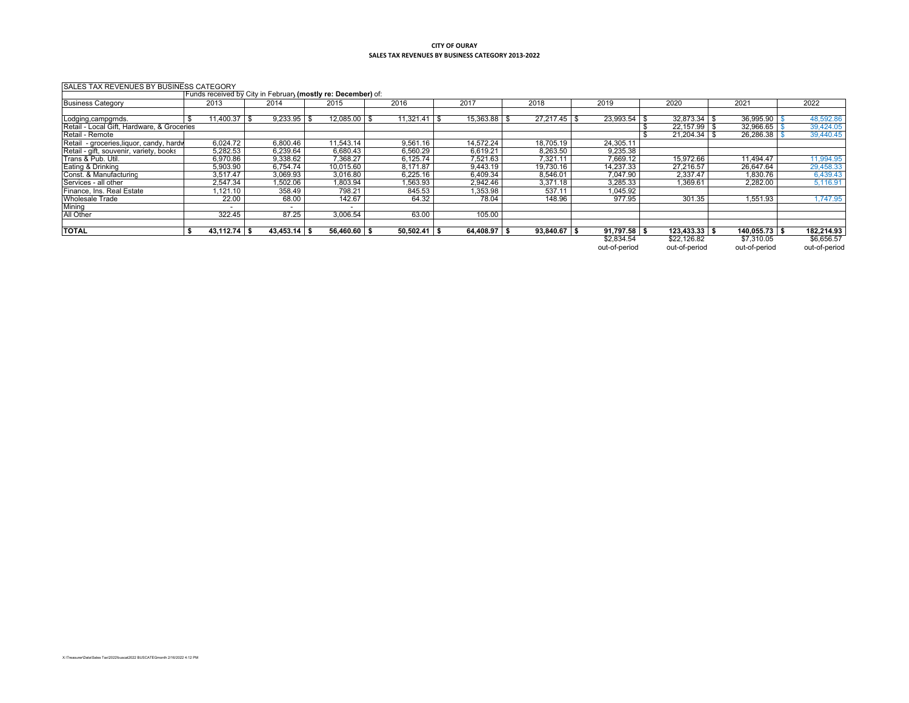## **CITY OF OURAY SALES TAX REVENUES BY BUSINESS CATEGORY 2013‐2022**

| SALES TAX REVENUES BY BUSINESS CATEGORY     |                          |                                                              |                |                |                |                |                  |                   |                 |               |
|---------------------------------------------|--------------------------|--------------------------------------------------------------|----------------|----------------|----------------|----------------|------------------|-------------------|-----------------|---------------|
|                                             |                          | Funds received by City in February (mostly re: December) of: |                |                |                |                |                  |                   |                 |               |
| <b>Business Category</b>                    | 2013                     | 2014                                                         | 2015           | 2016           | 201            | 2018           | 2019             | 2020              | 2021            | 2022          |
|                                             |                          |                                                              |                |                |                |                |                  |                   |                 |               |
| Lodging, campgrnds.                         | $1,400.37$ \ \$          | $9,233.95$ \$                                                | $12,085.00$ \$ |                | 15,363.88 \$   | 27.217.45      | $23,993.54$ \\$  | $32,873.34$ \\$   | 36,995.90       | 48,592.86     |
| Retail - Local Gift, Hardware, & Groceries  |                          |                                                              |                |                |                |                |                  | 22.157.99 \$      | 32,966.65       | 39,424.05     |
| Retail - Remote                             |                          |                                                              |                |                |                |                |                  | 21,204.34         | 26,286.38       | 39,440.45     |
| - groceries, liquor, candy, hardy<br>Retail | 6,024.72                 | 6,800.46                                                     | 11,543.14      | 9,561.16       | 14.572.24      | 18,705.19      | 24,305.11        |                   |                 |               |
| Retail - gift, souvenir, variety, books     | 5,282.53                 | 6,239.64                                                     | 6,680.43       | 6,560.29       | 6,619.21       | 8,263.50       | 9,235.38         |                   |                 |               |
| Trans & Pub. Util.                          | 6,970.86                 | 9,338.62                                                     | 7,368.27       | 6.125.74       | 7,521.63       | 7,321.11       | 7,669.12         | 15.972.66         | 11.494.47       | 1,994.95      |
| Eating & Drinking                           | 5,903.90                 | 6,754.74                                                     | 10,015.60      | 8,171.87       | 9,443.19       | 19,730.16      | 14.237.33        | 27,216.57         | 26,647.64       | 29,458.33     |
| Const. & Manufacturing                      | 3,517.47                 | 3,069.93                                                     | 3,016.80       | 6,225.16       | 6,409.34       | 8,546.01       | 7,047.90         | 2,337.47          | 1,830.76        | 6,439.43      |
| Services - all other                        | 2,547.34                 | ,502.06                                                      | 1,803.94       | 1,563.93       | 2,942.46       | 3,371.18       | 3,285.33         | 1.369.61          | 2,282.00        | 5,116.91      |
| Finance, Ins. Real Estate                   | 1,121.10                 | 358.49                                                       | 798.21         | 845.53         | 1,353.98       | 537.11         | 1,045.92         |                   |                 |               |
| <b>Wholesale Trade</b>                      | 22.00                    | 68.00                                                        | 142.67         | 64.32          | 78.04          | 148.96         | 977.95           | 301.35            | 1,551.93        | 1,747.95      |
| Mining                                      | $\overline{\phantom{a}}$ | $\overline{\phantom{0}}$                                     | -              |                |                |                |                  |                   |                 |               |
| All Other                                   | 322.45                   | 87.25                                                        | 3,006.54       | 63.00          | 105.00         |                |                  |                   |                 |               |
|                                             |                          |                                                              |                |                |                |                |                  |                   |                 |               |
| <b>TOTAL</b>                                | $43,112.74$ \$           | $43,453.14$ \$                                               | $56,460.60$ \$ | $50,502.41$ \$ | $64,408.97$ \$ | $93,840.67$ \$ | $91,797.58$ \ \$ | $123,433.33$ \ \$ | $140,055.73$ \$ | 182,214.93    |
|                                             |                          |                                                              |                |                |                |                | \$2,834.54       | \$22,126.82       | \$7,310.05      | \$6,656.57    |
|                                             |                          |                                                              |                |                |                |                | out-of-period    | out-of-period     | out-of-period   | out-of-period |